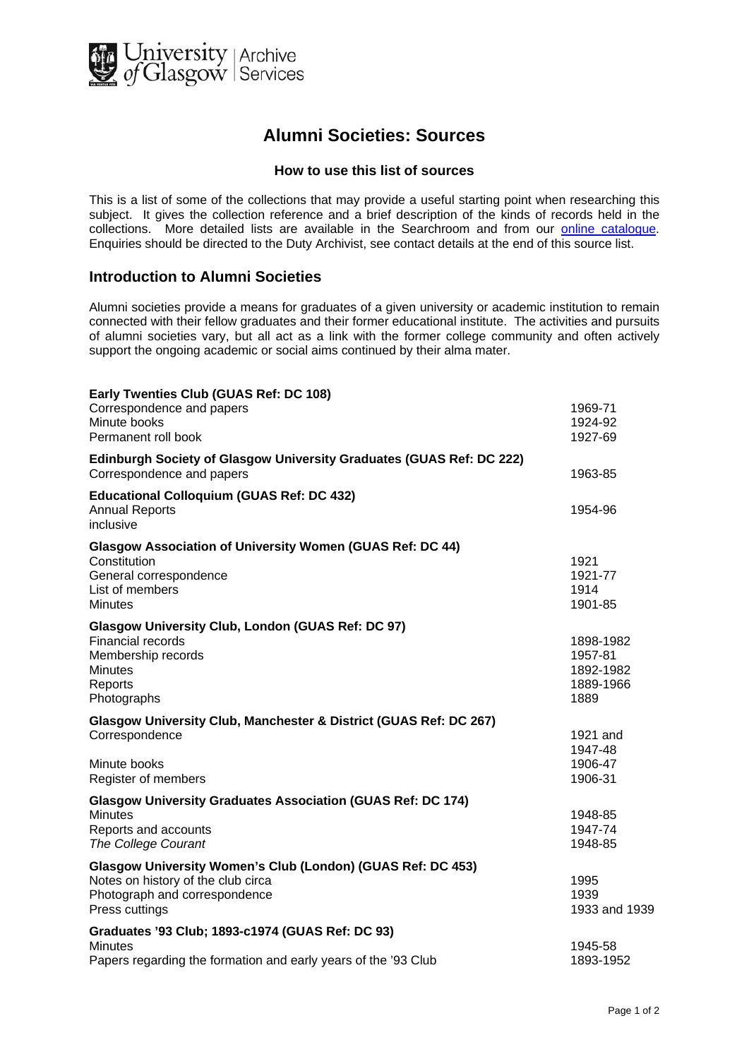

## **Alumni Societies: Sources**

## **How to use this list of sources**

This is a list of some of the collections that may provide a useful starting point when researching this subject. It gives the collection reference and a brief description of the kinds of records held in the collections. More detailed lists are available in the Searchroom and from our [online catalogue.](http://cheshire.cent.gla.ac.uk/ead/) Enquiries should be directed to the Duty Archivist, see contact details at the end of this source list.

## **Introduction to Alumni Societies**

Alumni societies provide a means for graduates of a given university or academic institution to remain connected with their fellow graduates and their former educational institute. The activities and pursuits of alumni societies vary, but all act as a link with the former college community and often actively support the ongoing academic or social aims continued by their alma mater.

| Early Twenties Club (GUAS Ref: DC 108)<br>Correspondence and papers                                                                                  | 1969-71                                                |
|------------------------------------------------------------------------------------------------------------------------------------------------------|--------------------------------------------------------|
| Minute books<br>Permanent roll book                                                                                                                  | 1924-92<br>1927-69                                     |
| Edinburgh Society of Glasgow University Graduates (GUAS Ref: DC 222)<br>Correspondence and papers                                                    | 1963-85                                                |
| <b>Educational Colloquium (GUAS Ref: DC 432)</b><br><b>Annual Reports</b><br>inclusive                                                               | 1954-96                                                |
| <b>Glasgow Association of University Women (GUAS Ref: DC 44)</b><br>Constitution<br>General correspondence<br>List of members<br><b>Minutes</b>      | 1921<br>1921-77<br>1914<br>1901-85                     |
| Glasgow University Club, London (GUAS Ref: DC 97)<br>Financial records<br>Membership records<br><b>Minutes</b><br>Reports<br>Photographs             | 1898-1982<br>1957-81<br>1892-1982<br>1889-1966<br>1889 |
| Glasgow University Club, Manchester & District (GUAS Ref: DC 267)<br>Correspondence<br>Minute books                                                  | 1921 and<br>1947-48<br>1906-47                         |
| Register of members<br><b>Glasgow University Graduates Association (GUAS Ref: DC 174)</b>                                                            | 1906-31                                                |
| <b>Minutes</b><br>Reports and accounts<br><b>The College Courant</b>                                                                                 | 1948-85<br>1947-74<br>1948-85                          |
| Glasgow University Women's Club (London) (GUAS Ref: DC 453)<br>Notes on history of the club circa<br>Photograph and correspondence<br>Press cuttings | 1995<br>1939<br>1933 and 1939                          |
| Graduates '93 Club; 1893-c1974 (GUAS Ref: DC 93)<br>Minutes<br>Papers regarding the formation and early years of the '93 Club                        | 1945-58<br>1893-1952                                   |
|                                                                                                                                                      |                                                        |